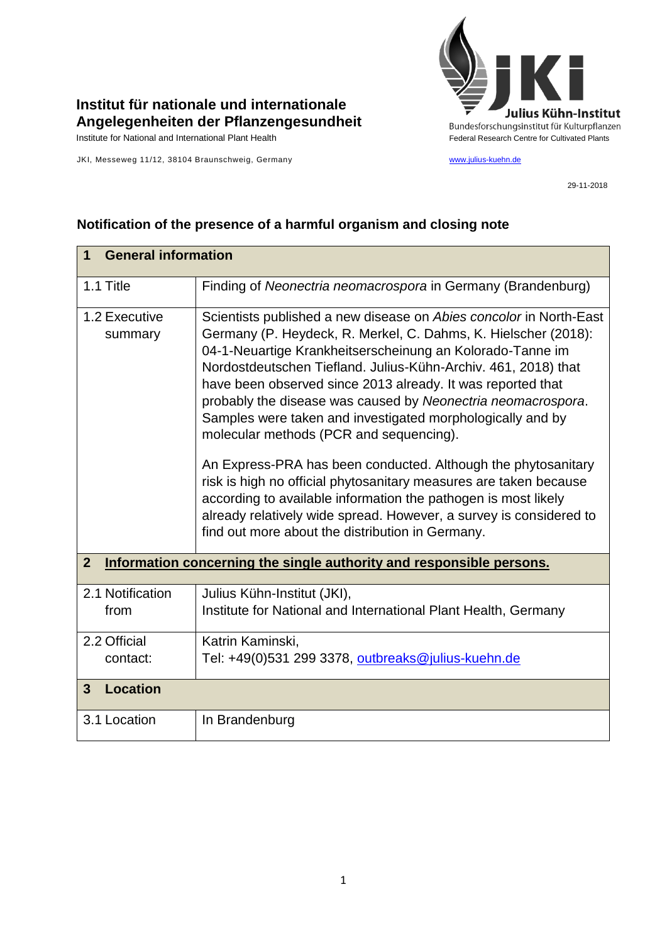

## **Institut für nationale und internationale Angelegenheiten der Pflanzengesundheit**

JKI, Messeweg 11/12, 38104 Braunschweig, Germany [www.julius-kuehn.de](http://www.julius-kuehn.de/)

29-11-2018

| <b>General information</b><br>1                                                        |                                                                                                                                                                                                                                                                                                                                                                                                                                                                                                             |  |
|----------------------------------------------------------------------------------------|-------------------------------------------------------------------------------------------------------------------------------------------------------------------------------------------------------------------------------------------------------------------------------------------------------------------------------------------------------------------------------------------------------------------------------------------------------------------------------------------------------------|--|
| 1.1 Title                                                                              | Finding of Neonectria neomacrospora in Germany (Brandenburg)                                                                                                                                                                                                                                                                                                                                                                                                                                                |  |
| 1.2 Executive<br>summary                                                               | Scientists published a new disease on Abies concolor in North-East<br>Germany (P. Heydeck, R. Merkel, C. Dahms, K. Hielscher (2018):<br>04-1-Neuartige Krankheitserscheinung an Kolorado-Tanne im<br>Nordostdeutschen Tiefland. Julius-Kühn-Archiv. 461, 2018) that<br>have been observed since 2013 already. It was reported that<br>probably the disease was caused by Neonectria neomacrospora.<br>Samples were taken and investigated morphologically and by<br>molecular methods (PCR and sequencing). |  |
|                                                                                        | An Express-PRA has been conducted. Although the phytosanitary<br>risk is high no official phytosanitary measures are taken because<br>according to available information the pathogen is most likely<br>already relatively wide spread. However, a survey is considered to<br>find out more about the distribution in Germany.                                                                                                                                                                              |  |
| Information concerning the single authority and responsible persons.<br>$\overline{2}$ |                                                                                                                                                                                                                                                                                                                                                                                                                                                                                                             |  |
| 2.1 Notification<br>from                                                               | Julius Kühn-Institut (JKI),<br>Institute for National and International Plant Health, Germany                                                                                                                                                                                                                                                                                                                                                                                                               |  |
| 2.2 Official<br>contact:                                                               | Katrin Kaminski,<br>Tel: +49(0)531 299 3378, outbreaks@julius-kuehn.de                                                                                                                                                                                                                                                                                                                                                                                                                                      |  |
| <b>Location</b><br>$\mathbf{3}$                                                        |                                                                                                                                                                                                                                                                                                                                                                                                                                                                                                             |  |
| 3.1 Location                                                                           | In Brandenburg                                                                                                                                                                                                                                                                                                                                                                                                                                                                                              |  |

## **Notification of the presence of a harmful organism and closing note**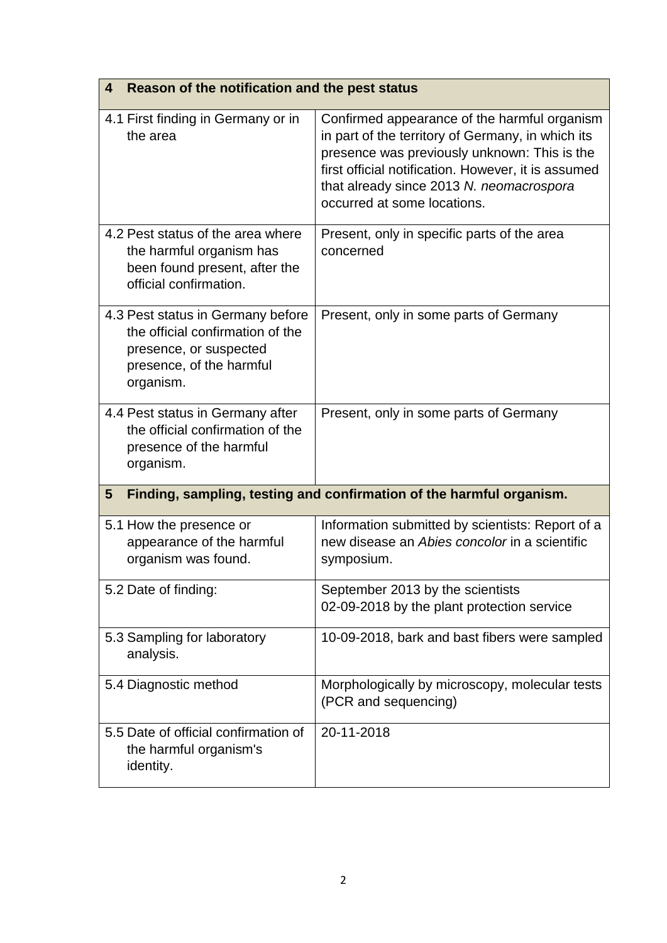| Reason of the notification and the pest status<br>4                                                                                      |                                                                                                                                                                                                                                                                                     |  |
|------------------------------------------------------------------------------------------------------------------------------------------|-------------------------------------------------------------------------------------------------------------------------------------------------------------------------------------------------------------------------------------------------------------------------------------|--|
| 4.1 First finding in Germany or in<br>the area                                                                                           | Confirmed appearance of the harmful organism<br>in part of the territory of Germany, in which its<br>presence was previously unknown: This is the<br>first official notification. However, it is assumed<br>that already since 2013 N. neomacrospora<br>occurred at some locations. |  |
| 4.2 Pest status of the area where<br>the harmful organism has<br>been found present, after the<br>official confirmation.                 | Present, only in specific parts of the area<br>concerned                                                                                                                                                                                                                            |  |
| 4.3 Pest status in Germany before<br>the official confirmation of the<br>presence, or suspected<br>presence, of the harmful<br>organism. | Present, only in some parts of Germany                                                                                                                                                                                                                                              |  |
| 4.4 Pest status in Germany after<br>the official confirmation of the<br>presence of the harmful<br>organism.                             | Present, only in some parts of Germany                                                                                                                                                                                                                                              |  |
| Finding, sampling, testing and confirmation of the harmful organism.<br>5                                                                |                                                                                                                                                                                                                                                                                     |  |
| 5.1 How the presence or<br>appearance of the harmful<br>organism was found.                                                              | Information submitted by scientists: Report of a<br>new disease an Abies concolor in a scientific<br>symposium.                                                                                                                                                                     |  |
| 5.2 Date of finding:                                                                                                                     | September 2013 by the scientists<br>02-09-2018 by the plant protection service                                                                                                                                                                                                      |  |
| 5.3 Sampling for laboratory<br>analysis.                                                                                                 | 10-09-2018, bark and bast fibers were sampled                                                                                                                                                                                                                                       |  |
| 5.4 Diagnostic method                                                                                                                    | Morphologically by microscopy, molecular tests<br>(PCR and sequencing)                                                                                                                                                                                                              |  |
| 5.5 Date of official confirmation of<br>the harmful organism's<br>identity.                                                              | 20-11-2018                                                                                                                                                                                                                                                                          |  |